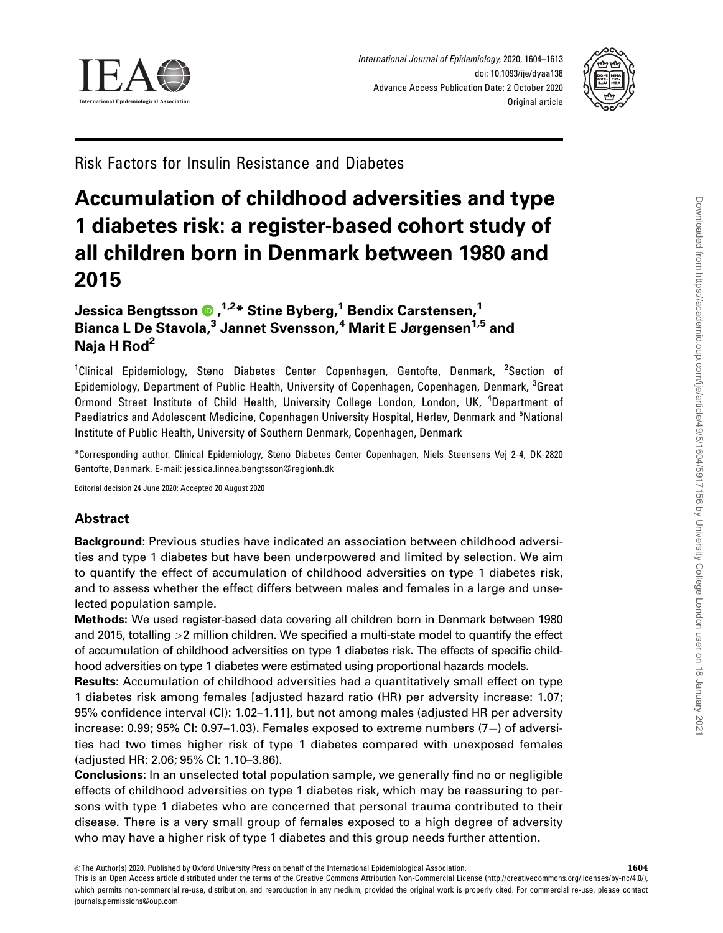



Risk Factors for Insulin Resistance and Diabetes

# Accumulation of childhood adversities and type 1 diabetes risk: a register-based cohort study of all children born in Denmark between 1980 and 2015

# Jessica Bengtsson , 1,2\* Stine Byberg,1 Bendix Carstensen,1 Bianca L De Stavola,<sup>3</sup> Jannet Svensson,<sup>4</sup> Marit E Jørgensen<sup>1,5</sup> and Naja H Rod<sup>2</sup>

<sup>1</sup>Clinical Epidemiology, Steno Diabetes Center Copenhagen, Gentofte, Denmark, <sup>2</sup>Section of Epidemiology, Department of Public Health, University of Copenhagen, Copenhagen, Denmark, <sup>3</sup>Great Ormond Street Institute of Child Health, University College London, London, UK, <sup>4</sup>Department of Paediatrics and Adolescent Medicine, Copenhagen University Hospital, Herlev, Denmark and <sup>5</sup>National Institute of Public Health, University of Southern Denmark, Copenhagen, Denmark

\*Corresponding author. Clinical Epidemiology, Steno Diabetes Center Copenhagen, Niels Steensens Vej 2-4, DK-2820 Gentofte, Denmark. E-mail: jessica.linnea.bengtsson@regionh.dk

Editorial decision 24 June 2020; Accepted 20 August 2020

# Abstract

Background: Previous studies have indicated an association between childhood adversities and type 1 diabetes but have been underpowered and limited by selection. We aim to quantify the effect of accumulation of childhood adversities on type 1 diabetes risk, and to assess whether the effect differs between males and females in a large and unselected population sample.

Methods: We used register-based data covering all children born in Denmark between 1980 and 2015, totalling >2 million children. We specified a multi-state model to quantify the effect of accumulation of childhood adversities on type 1 diabetes risk. The effects of specific childhood adversities on type 1 diabetes were estimated using proportional hazards models.

Results: Accumulation of childhood adversities had a quantitatively small effect on type 1 diabetes risk among females [adjusted hazard ratio (HR) per adversity increase: 1.07; 95% confidence interval (CI): 1.02–1.11], but not among males (adjusted HR per adversity increase:  $0.99$ ;  $95\%$  CI:  $0.97-1.03$ ). Females exposed to extreme numbers  $(7+)$  of adversities had two times higher risk of type 1 diabetes compared with unexposed females (adjusted HR: 2.06; 95% CI: 1.10–3.86).

Conclusions: In an unselected total population sample, we generally find no or negligible effects of childhood adversities on type 1 diabetes risk, which may be reassuring to persons with type 1 diabetes who are concerned that personal trauma contributed to their disease. There is a very small group of females exposed to a high degree of adversity who may have a higher risk of type 1 diabetes and this group needs further attention.

This is an Open Access article distributed under the terms of the Creative Commons Attribution Non-Commercial License (http://creativecommons.org/licenses/by-nc/4.0/), which permits non-commercial re-use, distribution, and reproduction in any medium, provided the original work is properly cited. For commercial re-use, please contact journals.permissions@oup.com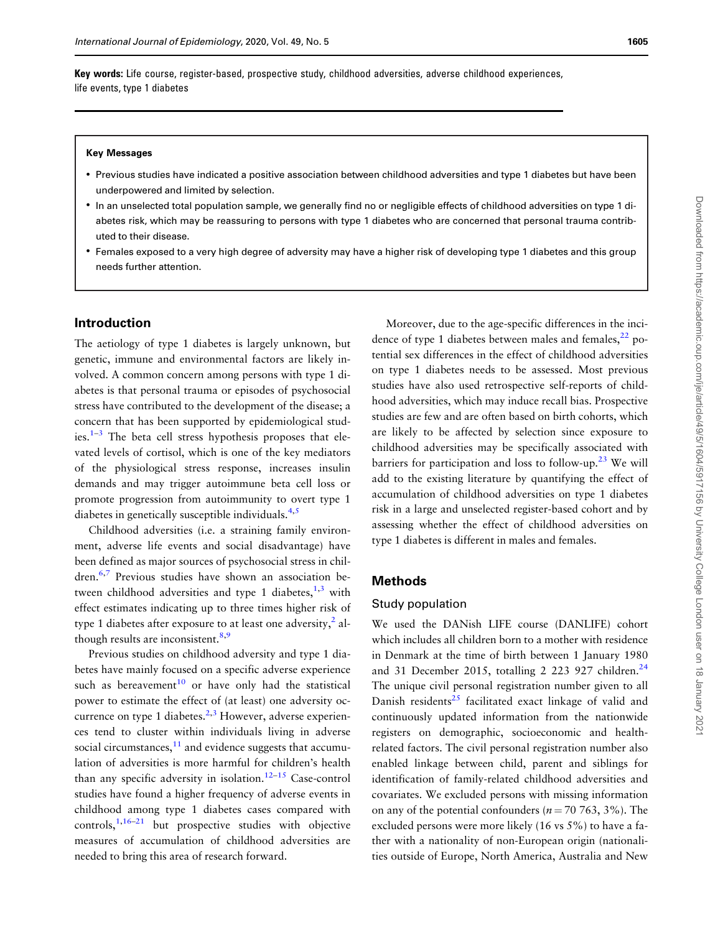<span id="page-1-0"></span>Key words: Life course, register-based, prospective study, childhood adversities, adverse childhood experiences, life events, type 1 diabetes

#### Key Messages

- Previous studies have indicated a positive association between childhood adversities and type 1 diabetes but have been underpowered and limited by selection.
- In an unselected total population sample, we generally find no or negligible effects of childhood adversities on type 1 diabetes risk, which may be reassuring to persons with type 1 diabetes who are concerned that personal trauma contributed to their disease.
- Females exposed to a very high degree of adversity may have a higher risk of developing type 1 diabetes and this group needs further attention.

#### Introduction

The aetiology of type 1 diabetes is largely unknown, but genetic, immune and environmental factors are likely involved. A common concern among persons with type 1 diabetes is that personal trauma or episodes of psychosocial stress have contributed to the development of the disease; a concern that has been supported by epidemiological studies. $1-3$  The beta cell stress hypothesis proposes that elevated levels of cortisol, which is one of the key mediators of the physiological stress response, increases insulin demands and may trigger autoimmune beta cell loss or promote progression from autoimmunity to overt type 1 diabetes in genetically susceptible individuals. $4,5$ 

Childhood adversities (i.e. a straining family environment, adverse life events and social disadvantage) have been defined as major sources of psychosocial stress in chil-dren.<sup>[6,7](#page-8-0)</sup> Previous studies have shown an association between childhood adversities and type 1 diabetes, $1,3$  with effect estimates indicating up to three times higher risk of type 1 diabetes after exposure to at least one adversity, $\frac{2}{3}$  $\frac{2}{3}$  $\frac{2}{3}$  al-though results are inconsistent.<sup>[8,9](#page-8-0)</sup>

Previous studies on childhood adversity and type 1 diabetes have mainly focused on a specific adverse experience such as bereavement<sup>[10](#page-8-0)</sup> or have only had the statistical power to estimate the effect of (at least) one adversity occurrence on type 1 diabetes.<sup>2,3</sup> However, adverse experiences tend to cluster within individuals living in adverse social circumstances, $11$  and evidence suggests that accumulation of adversities is more harmful for children's health than any specific adversity in isolation.<sup>12-15</sup> Case-control studies have found a higher frequency of adverse events in childhood among type 1 diabetes cases compared with controls,  $1,16-21$  $1,16-21$  but prospective studies with objective measures of accumulation of childhood adversities are needed to bring this area of research forward.

Moreover, due to the age-specific differences in the incidence of type 1 diabetes between males and females, $^{22}$  potential sex differences in the effect of childhood adversities on type 1 diabetes needs to be assessed. Most previous studies have also used retrospective self-reports of childhood adversities, which may induce recall bias. Prospective studies are few and are often based on birth cohorts, which are likely to be affected by selection since exposure to childhood adversities may be specifically associated with barriers for participation and loss to follow-up.<sup>[23](#page-9-0)</sup> We will add to the existing literature by quantifying the effect of accumulation of childhood adversities on type 1 diabetes risk in a large and unselected register-based cohort and by assessing whether the effect of childhood adversities on type 1 diabetes is different in males and females.

# Methods

#### Study population

We used the DANish LIFE course (DANLIFE) cohort which includes all children born to a mother with residence in Denmark at the time of birth between 1 January 1980 and 31 December 2015, totalling 2 223 927 children.<sup>24</sup> The unique civil personal registration number given to all Danish residents $^{25}$  $^{25}$  $^{25}$  facilitated exact linkage of valid and continuously updated information from the nationwide registers on demographic, socioeconomic and healthrelated factors. The civil personal registration number also enabled linkage between child, parent and siblings for identification of family-related childhood adversities and covariates. We excluded persons with missing information on any of the potential confounders ( $n = 70, 763, 3\%$ ). The excluded persons were more likely (16 vs 5%) to have a father with a nationality of non-European origin (nationalities outside of Europe, North America, Australia and New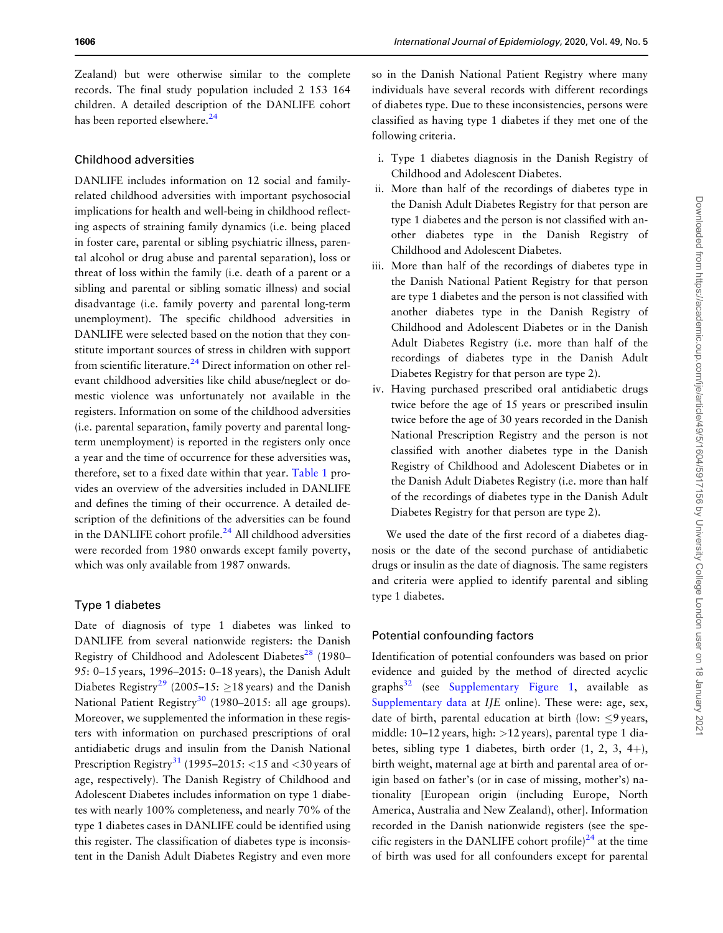<span id="page-2-0"></span>Zealand) but were otherwise similar to the complete records. The final study population included 2 153 164 children. A detailed description of the DANLIFE cohort has been reported elsewhere.<sup>[24](#page-9-0)</sup>

## Childhood adversities

DANLIFE includes information on 12 social and familyrelated childhood adversities with important psychosocial implications for health and well-being in childhood reflecting aspects of straining family dynamics (i.e. being placed in foster care, parental or sibling psychiatric illness, parental alcohol or drug abuse and parental separation), loss or threat of loss within the family (i.e. death of a parent or a sibling and parental or sibling somatic illness) and social disadvantage (i.e. family poverty and parental long-term unemployment). The specific childhood adversities in DANLIFE were selected based on the notion that they constitute important sources of stress in children with support from scientific literature. $^{24}$  Direct information on other relevant childhood adversities like child abuse/neglect or domestic violence was unfortunately not available in the registers. Information on some of the childhood adversities (i.e. parental separation, family poverty and parental longterm unemployment) is reported in the registers only once a year and the time of occurrence for these adversities was, therefore, set to a fixed date within that year. [Table 1](#page-3-0) provides an overview of the adversities included in DANLIFE and defines the timing of their occurrence. A detailed description of the definitions of the adversities can be found in the DANLIFE cohort profile.<sup>[24](#page-9-0)</sup> All childhood adversities were recorded from 1980 onwards except family poverty, which was only available from 1987 onwards.

# Type 1 diabetes

Date of diagnosis of type 1 diabetes was linked to DANLIFE from several nationwide registers: the Danish Registry of Childhood and Adolescent Diabetes<sup>[28](#page-9-0)</sup> (1980– 95: 0–15 years, 1996–2015: 0–18 years), the Danish Adult Diabetes Registry<sup>[29](#page-9-0)</sup> (2005–15:  $\geq$ 18 years) and the Danish National Patient Registry<sup>[30](#page-9-0)</sup> (1980–2015: all age groups). Moreover, we supplemented the information in these registers with information on purchased prescriptions of oral antidiabetic drugs and insulin from the Danish National Prescription Registry<sup>31</sup> (1995–2015: <15 and <30 years of age, respectively). The Danish Registry of Childhood and Adolescent Diabetes includes information on type 1 diabetes with nearly 100% completeness, and nearly 70% of the type 1 diabetes cases in DANLIFE could be identified using this register. The classification of diabetes type is inconsistent in the Danish Adult Diabetes Registry and even more so in the Danish National Patient Registry where many individuals have several records with different recordings of diabetes type. Due to these inconsistencies, persons were classified as having type 1 diabetes if they met one of the following criteria.

- i. Type 1 diabetes diagnosis in the Danish Registry of Childhood and Adolescent Diabetes.
- ii. More than half of the recordings of diabetes type in the Danish Adult Diabetes Registry for that person are type 1 diabetes and the person is not classified with another diabetes type in the Danish Registry of Childhood and Adolescent Diabetes.
- iii. More than half of the recordings of diabetes type in the Danish National Patient Registry for that person are type 1 diabetes and the person is not classified with another diabetes type in the Danish Registry of Childhood and Adolescent Diabetes or in the Danish Adult Diabetes Registry (i.e. more than half of the recordings of diabetes type in the Danish Adult Diabetes Registry for that person are type 2).
- iv. Having purchased prescribed oral antidiabetic drugs twice before the age of 15 years or prescribed insulin twice before the age of 30 years recorded in the Danish National Prescription Registry and the person is not classified with another diabetes type in the Danish Registry of Childhood and Adolescent Diabetes or in the Danish Adult Diabetes Registry (i.e. more than half of the recordings of diabetes type in the Danish Adult Diabetes Registry for that person are type 2).

We used the date of the first record of a diabetes diagnosis or the date of the second purchase of antidiabetic drugs or insulin as the date of diagnosis. The same registers and criteria were applied to identify parental and sibling type 1 diabetes.

### Potential confounding factors

Identification of potential confounders was based on prior evidence and guided by the method of directed acyclic graphs $32$  (see [Supplementary Figure 1,](https://academic.oup.com/ije/article-lookup/doi/10.1093/ije/dyaa138#supplementary-data) available as [Supplementary data](https://academic.oup.com/ije/article-lookup/doi/10.1093/ije/dyaa138#supplementary-data) at *IJE* online). These were: age, sex, date of birth, parental education at birth (low:  $\leq$ 9 years, middle:  $10-12$  years, high:  $>12$  years), parental type 1 diabetes, sibling type 1 diabetes, birth order  $(1, 2, 3, 4+)$ , birth weight, maternal age at birth and parental area of origin based on father's (or in case of missing, mother's) nationality [European origin (including Europe, North America, Australia and New Zealand), other]. Information recorded in the Danish nationwide registers (see the specific registers in the DANLIFE cohort profile)<sup>24</sup> at the time of birth was used for all confounders except for parental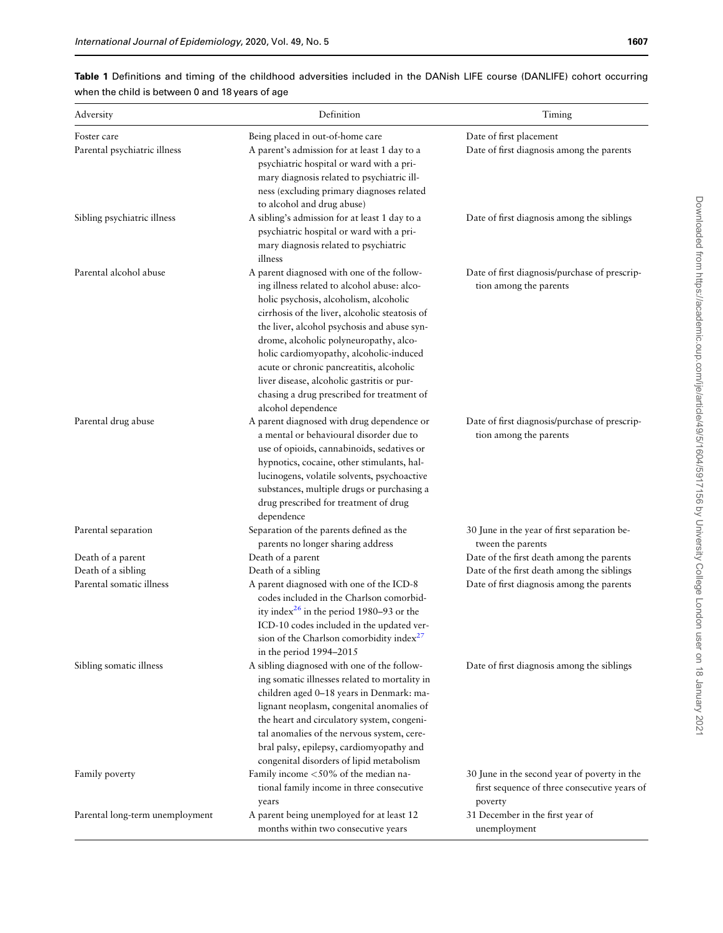# <span id="page-3-0"></span>Table 1 Definitions and timing of the childhood adversities included in the DANish LIFE course (DANLIFE) cohort occurring when the child is between 0 and 18 years of age

| Adversity                       | Definition                                                                                                                                                                                                                                                                                                                                                                                                                                                                              | Timing                                                                                                  |
|---------------------------------|-----------------------------------------------------------------------------------------------------------------------------------------------------------------------------------------------------------------------------------------------------------------------------------------------------------------------------------------------------------------------------------------------------------------------------------------------------------------------------------------|---------------------------------------------------------------------------------------------------------|
| Foster care                     | Being placed in out-of-home care                                                                                                                                                                                                                                                                                                                                                                                                                                                        | Date of first placement                                                                                 |
| Parental psychiatric illness    | A parent's admission for at least 1 day to a<br>psychiatric hospital or ward with a pri-<br>mary diagnosis related to psychiatric ill-<br>ness (excluding primary diagnoses related<br>to alcohol and drug abuse)                                                                                                                                                                                                                                                                       | Date of first diagnosis among the parents                                                               |
| Sibling psychiatric illness     | A sibling's admission for at least 1 day to a<br>psychiatric hospital or ward with a pri-<br>mary diagnosis related to psychiatric<br>illness                                                                                                                                                                                                                                                                                                                                           | Date of first diagnosis among the siblings                                                              |
| Parental alcohol abuse          | A parent diagnosed with one of the follow-<br>ing illness related to alcohol abuse: alco-<br>holic psychosis, alcoholism, alcoholic<br>cirrhosis of the liver, alcoholic steatosis of<br>the liver, alcohol psychosis and abuse syn-<br>drome, alcoholic polyneuropathy, alco-<br>holic cardiomyopathy, alcoholic-induced<br>acute or chronic pancreatitis, alcoholic<br>liver disease, alcoholic gastritis or pur-<br>chasing a drug prescribed for treatment of<br>alcohol dependence | Date of first diagnosis/purchase of prescrip-<br>tion among the parents                                 |
| Parental drug abuse             | A parent diagnosed with drug dependence or<br>a mental or behavioural disorder due to<br>use of opioids, cannabinoids, sedatives or<br>hypnotics, cocaine, other stimulants, hal-<br>lucinogens, volatile solvents, psychoactive<br>substances, multiple drugs or purchasing a<br>drug prescribed for treatment of drug<br>dependence                                                                                                                                                   | Date of first diagnosis/purchase of prescrip-<br>tion among the parents                                 |
| Parental separation             | Separation of the parents defined as the<br>parents no longer sharing address                                                                                                                                                                                                                                                                                                                                                                                                           | 30 June in the year of first separation be-<br>tween the parents                                        |
| Death of a parent               | Death of a parent                                                                                                                                                                                                                                                                                                                                                                                                                                                                       | Date of the first death among the parents                                                               |
| Death of a sibling              | Death of a sibling                                                                                                                                                                                                                                                                                                                                                                                                                                                                      | Date of the first death among the siblings                                                              |
| Parental somatic illness        | A parent diagnosed with one of the ICD-8<br>codes included in the Charlson comorbid-<br>ity index <sup>26</sup> in the period 1980–93 or the<br>ICD-10 codes included in the updated ver-<br>sion of the Charlson comorbidity index <sup>27</sup><br>in the period 1994-2015                                                                                                                                                                                                            | Date of first diagnosis among the parents                                                               |
| Sibling somatic illness         | A sibling diagnosed with one of the follow-<br>ing somatic illnesses related to mortality in<br>children aged 0-18 years in Denmark: ma-<br>lignant neoplasm, congenital anomalies of<br>the heart and circulatory system, congeni-<br>tal anomalies of the nervous system, cere-<br>bral palsy, epilepsy, cardiomyopathy and<br>congenital disorders of lipid metabolism                                                                                                               | Date of first diagnosis among the siblings                                                              |
| Family poverty                  | Family income <50% of the median na-<br>tional family income in three consecutive<br>years                                                                                                                                                                                                                                                                                                                                                                                              | 30 June in the second year of poverty in the<br>first sequence of three consecutive years of<br>poverty |
| Parental long-term unemployment | A parent being unemployed for at least 12<br>months within two consecutive years                                                                                                                                                                                                                                                                                                                                                                                                        | 31 December in the first year of<br>unemployment                                                        |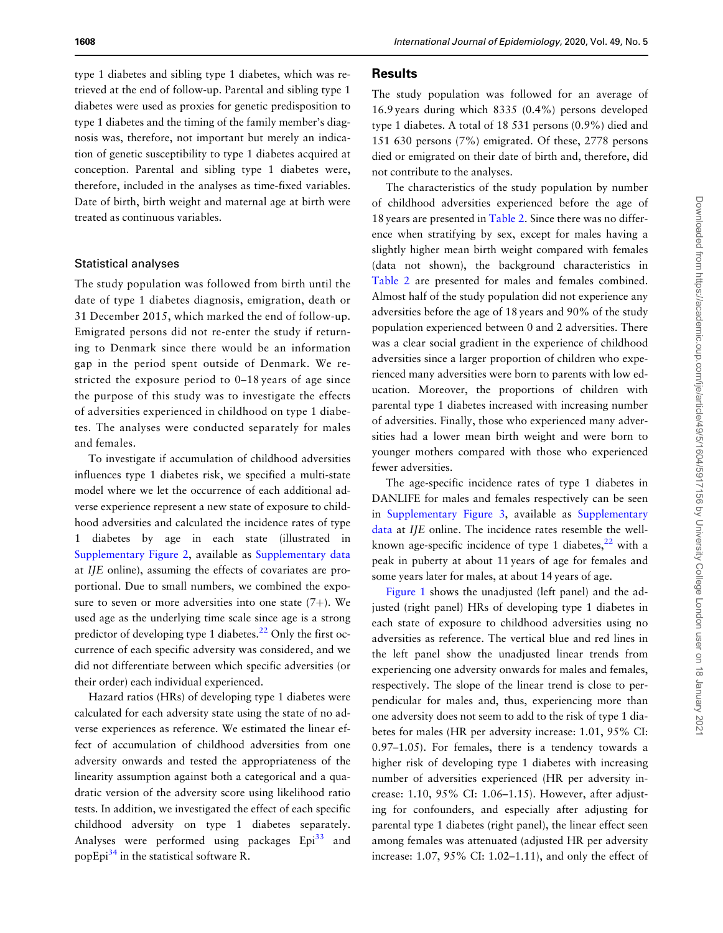type 1 diabetes and sibling type 1 diabetes, which was retrieved at the end of follow-up. Parental and sibling type 1 diabetes were used as proxies for genetic predisposition to type 1 diabetes and the timing of the family member's diagnosis was, therefore, not important but merely an indication of genetic susceptibility to type 1 diabetes acquired at conception. Parental and sibling type 1 diabetes were, therefore, included in the analyses as time-fixed variables. Date of birth, birth weight and maternal age at birth were treated as continuous variables.

#### Statistical analyses

The study population was followed from birth until the date of type 1 diabetes diagnosis, emigration, death or 31 December 2015, which marked the end of follow-up. Emigrated persons did not re-enter the study if returning to Denmark since there would be an information gap in the period spent outside of Denmark. We restricted the exposure period to 0–18 years of age since the purpose of this study was to investigate the effects of adversities experienced in childhood on type 1 diabetes. The analyses were conducted separately for males and females.

To investigate if accumulation of childhood adversities influences type 1 diabetes risk, we specified a multi-state model where we let the occurrence of each additional adverse experience represent a new state of exposure to childhood adversities and calculated the incidence rates of type 1 diabetes by age in each state (illustrated in [Supplementary Figure 2,](https://academic.oup.com/ije/article-lookup/doi/10.1093/ije/dyaa138#supplementary-data) available as [Supplementary data](https://academic.oup.com/ije/article-lookup/doi/10.1093/ije/dyaa138#supplementary-data) at IJE online), assuming the effects of covariates are proportional. Due to small numbers, we combined the exposure to seven or more adversities into one state  $(7+)$ . We used age as the underlying time scale since age is a strong predictor of developing type 1 diabetes.<sup>[22](#page-9-0)</sup> Only the first occurrence of each specific adversity was considered, and we did not differentiate between which specific adversities (or their order) each individual experienced.

Hazard ratios (HRs) of developing type 1 diabetes were calculated for each adversity state using the state of no adverse experiences as reference. We estimated the linear effect of accumulation of childhood adversities from one adversity onwards and tested the appropriateness of the linearity assumption against both a categorical and a quadratic version of the adversity score using likelihood ratio tests. In addition, we investigated the effect of each specific childhood adversity on type 1 diabetes separately. Analyses were performed using packages Epi<sup>[33](#page-9-0)</sup> and popEpi $^{34}$  $^{34}$  $^{34}$  in the statistical software R.

#### <span id="page-4-0"></span>1608 International Journal of Epidemiology, 2020, Vol. 49, No. 5

The study population was followed for an average of 16.9 years during which 8335 (0.4%) persons developed type 1 diabetes. A total of 18 531 persons (0.9%) died and 151 630 persons (7%) emigrated. Of these, 2778 persons died or emigrated on their date of birth and, therefore, did not contribute to the analyses.

The characteristics of the study population by number of childhood adversities experienced before the age of 18 years are presented in [Table 2](#page-5-0). Since there was no difference when stratifying by sex, except for males having a slightly higher mean birth weight compared with females (data not shown), the background characteristics in [Table 2](#page-5-0) are presented for males and females combined. Almost half of the study population did not experience any adversities before the age of 18 years and 90% of the study population experienced between 0 and 2 adversities. There was a clear social gradient in the experience of childhood adversities since a larger proportion of children who experienced many adversities were born to parents with low education. Moreover, the proportions of children with parental type 1 diabetes increased with increasing number of adversities. Finally, those who experienced many adversities had a lower mean birth weight and were born to younger mothers compared with those who experienced fewer adversities.

The age-specific incidence rates of type 1 diabetes in DANLIFE for males and females respectively can be seen in [Supplementary Figure 3,](https://academic.oup.com/ije/article-lookup/doi/10.1093/ije/dyaa138#supplementary-data) available as [Supplementary](https://academic.oup.com/ije/article-lookup/doi/10.1093/ije/dyaa138#supplementary-data) [data](https://academic.oup.com/ije/article-lookup/doi/10.1093/ije/dyaa138#supplementary-data) at IJE online. The incidence rates resemble the wellknown age-specific incidence of type 1 diabetes, $22$  with a peak in puberty at about 11 years of age for females and some years later for males, at about 14 years of age.

[Figure 1](#page-6-0) shows the unadjusted (left panel) and the adjusted (right panel) HRs of developing type 1 diabetes in each state of exposure to childhood adversities using no adversities as reference. The vertical blue and red lines in the left panel show the unadjusted linear trends from experiencing one adversity onwards for males and females, respectively. The slope of the linear trend is close to perpendicular for males and, thus, experiencing more than one adversity does not seem to add to the risk of type 1 diabetes for males (HR per adversity increase: 1.01, 95% CI: 0.97–1.05). For females, there is a tendency towards a higher risk of developing type 1 diabetes with increasing number of adversities experienced (HR per adversity increase: 1.10, 95% CI: 1.06–1.15). However, after adjusting for confounders, and especially after adjusting for parental type 1 diabetes (right panel), the linear effect seen among females was attenuated (adjusted HR per adversity increase: 1.07, 95% CI: 1.02–1.11), and only the effect of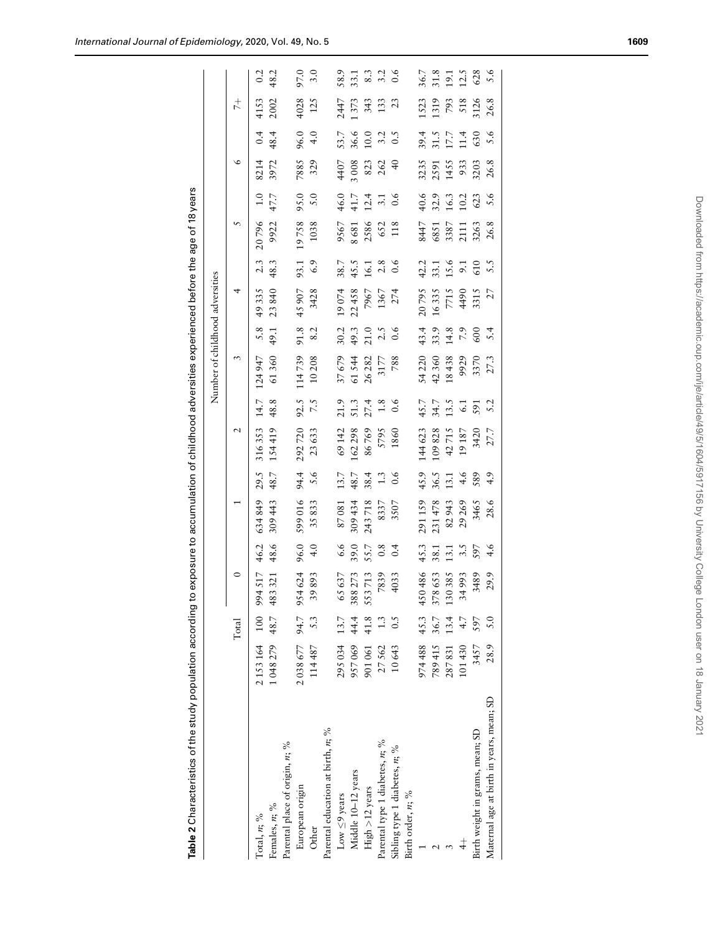Table 2 Characteristics of the study population according to exposure to accumulation of childhood adversities experienced before the age of 18 years

Table 2 Characteristics of the study population according to exposure to accumulation of childhood adversities experienced before the age of 18 years

<span id="page-5-0"></span>

|                                          |                        |       |                    |                                                    |                         |                  |        |                                           | Number of childhood adversities |              |                 |                                             |                                      |                                      |                                      |                              |                            |                                              |
|------------------------------------------|------------------------|-------|--------------------|----------------------------------------------------|-------------------------|------------------|--------|-------------------------------------------|---------------------------------|--------------|-----------------|---------------------------------------------|--------------------------------------|--------------------------------------|--------------------------------------|------------------------------|----------------------------|----------------------------------------------|
|                                          |                        | Total | $\circ$            |                                                    |                         |                  | N      |                                           | 3                               |              | 4               |                                             |                                      |                                      | $\circ$                              |                              | $^{+}_{7}$                 |                                              |
| $\text{Total}, n; \%$                    | 2 153 164 100 994 517  |       |                    | 46.2                                               | 634849                  | 29.5             | 316353 | 14.7                                      | 124947                          | 5.8          | 49335           | 2.3                                         | 20796                                | $\ddot{0}$                           | 8214                                 | 0.4                          | 4153                       | 0.2                                          |
| Females, $n$ ; %                         | 1 048 279 48.7         |       | 483 321            | 48.6                                               | 309 443                 | 48.7             | 154419 | 48.8                                      | 61360                           | 49.1         | 23840           | 48.3                                        | 9922                                 | 47.7                                 | 3972                                 | 48.4                         | 2002                       | 48.2                                         |
| Parental place of origin, n; %           |                        |       |                    |                                                    |                         |                  |        |                                           |                                 |              |                 |                                             |                                      |                                      |                                      |                              |                            |                                              |
| European origin                          | 2 038 677 94.7 954 624 |       |                    | 96.0                                               | 599016                  |                  | 292720 |                                           |                                 | 91.8         | 45907           |                                             |                                      |                                      |                                      |                              |                            |                                              |
| Other                                    | 114487                 | 5.3   | 39893              | 4.0                                                | 35833                   | 94.4<br>5.6      | 23633  | 92.5<br>7.5                               | 114739<br>10208                 | 8.2          | 3428            | 93.1<br>6.9                                 | 19758<br>1038                        | 95.0<br>5.0                          | 7885<br>329                          | $96.0$<br>4.0                | 4028<br>125                | 97.0<br>3.0                                  |
| Parental education at birth, n; %        |                        |       |                    |                                                    |                         |                  |        |                                           |                                 |              |                 |                                             |                                      |                                      |                                      |                              |                            |                                              |
| Low $\leq$ 9 years                       | 295034                 | 13.7  | 65 637             | 6.6                                                | 87081                   | 13.7             | 69142  | 21.9                                      |                                 | 30.2         |                 |                                             |                                      |                                      | 4407                                 | 53.7                         | 2447                       |                                              |
| Middle 10-12 years                       | 957069                 | 44.4  |                    | 39.0                                               | 309 434                 | 48.7             | 162298 |                                           |                                 | 49.3<br>21.0 | 19074<br>22458  |                                             |                                      |                                      |                                      |                              | 1373                       |                                              |
| High $>12$ years                         | 901061                 | 41.8  | 388 273<br>553 713 | 55.7<br>0.8                                        | 243 718<br>8337<br>3507 | 38.4             | 86769  | $51.3$<br>$27.4$                          | 37679<br>61544<br>26282<br>3177 |              | 7967            | 38.7<br>45.5<br>16.1                        | 9567<br>8681<br>8586<br>652<br>652   | $46.0$<br>$41.7$<br>$12.1$<br>$3.1$  | $3008$<br>$823$<br>$262$             | $36.6$<br>10.0<br>3.2<br>3.5 |                            | 58.7<br>53.7<br>53.7<br>59.9                 |
| Parental type 1 diabetes, n; %           | 27562                  | 1.3   | 7839               |                                                    |                         | 1.3              | 5795   |                                           |                                 | 2.5          | 1367            | $2.8$<br>0.6                                |                                      |                                      |                                      |                              | $343$<br>133<br>23         |                                              |
| Sibling type 1 diabetes, n; %            | 10643                  | 0.5   | 4033               | 0.4                                                |                         | $\overline{0.6}$ | 1860   | $\begin{array}{c} 0.6 \\ 0.6 \end{array}$ | 788                             | 0.6          | 274             |                                             |                                      | $\overline{0.6}$                     | $\theta$                             |                              |                            |                                              |
| Birth order, $n;$ %                      |                        |       |                    |                                                    |                         |                  |        |                                           |                                 |              |                 |                                             |                                      |                                      |                                      |                              |                            |                                              |
|                                          | 974488                 | 45.3  | 450 486            | 45.3                                               | 291159                  | 45.9             | 144623 |                                           |                                 | 43.4         |                 |                                             |                                      |                                      |                                      |                              |                            |                                              |
|                                          | 789415                 | 36.7  | 378653             |                                                    | 231478                  | 36.5             | 109828 | 45.7<br>34.7<br>13.5                      | 54 220<br>42 360<br>18 438      | 33.9         | 20795<br>16335  |                                             |                                      |                                      |                                      |                              | 1523<br>1319               |                                              |
|                                          | 287831                 | 13.4  | 130385             | $\begin{array}{c} 38.1 \\ 13.1 \\ 3.5 \end{array}$ | 82943                   | 13.1             | 42715  |                                           |                                 | 14.8         | 7715            |                                             |                                      | $40.6$<br>$32.9$<br>$16.3$<br>$10.2$ |                                      |                              |                            |                                              |
| $\ddot{+}$                               | 101430                 | 4.7   | 34993              |                                                    | 29269                   | 4.6              | 19187  | $\overline{61}$                           | 9929                            | 7.9          |                 | $42.1$<br>$33.1$<br>$5.6$<br>$5.5$<br>$5.5$ | 8447<br>6851<br>5387<br>2111<br>26.8 |                                      | 3235<br>2591<br>1455<br>9303<br>26.8 | 39.17.18<br>30.17.18.09.19   | 793<br>518<br>5126<br>26.8 | $36.7$<br>$31.3$<br>$12.5$<br>$628$<br>$5.6$ |
| Birth weight in grams, mean; SD          | 3457                   | 597   | 3489               | 597                                                | 3465                    | 589              | 3420   | 591                                       | 3370                            | 600          | 4490<br>3315    |                                             |                                      | 623                                  |                                      |                              |                            |                                              |
| Maternal age at birth in years, mean; SD | 28.9                   | 5.0   | 29.9               | 4.6                                                | 28.6                    | 4.9              | 27.7   | 5.2                                       | 27.3                            | 5.4          | $\overline{27}$ |                                             |                                      | 5.6                                  |                                      |                              |                            |                                              |
|                                          |                        |       |                    |                                                    |                         |                  |        |                                           |                                 |              |                 |                                             |                                      |                                      |                                      |                              |                            |                                              |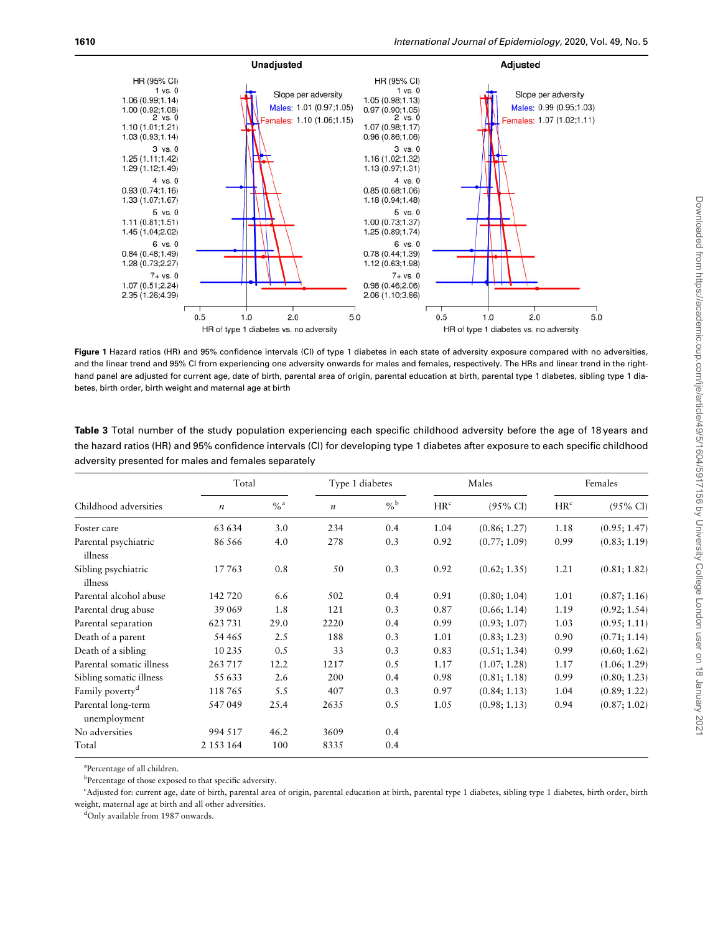<span id="page-6-0"></span>

Figure 1 Hazard ratios (HR) and 95% confidence intervals (CI) of type 1 diabetes in each state of adversity exposure compared with no adversities, and the linear trend and 95% CI from experiencing one adversity onwards for males and females, respectively. The HRs and linear trend in the righthand panel are adjusted for current age, date of birth, parental area of origin, parental education at birth, parental type 1 diabetes, sibling type 1 diabetes, birth order, birth weight and maternal age at birth

| <b>Table 3</b> Total number of the study population experiencing each specific childhood adversity before the age of 18 years and |
|-----------------------------------------------------------------------------------------------------------------------------------|
| the hazard ratios (HR) and 95% confidence intervals (CI) for developing type 1 diabetes after exposure to each specific childhood |
| adversity presented for males and females separately                                                                              |

|                                    | Total            |                   | Type 1 diabetes  |                   |                 | Males               |                 | Females             |
|------------------------------------|------------------|-------------------|------------------|-------------------|-----------------|---------------------|-----------------|---------------------|
| Childhood adversities              | $\boldsymbol{n}$ | $\%$ <sup>a</sup> | $\boldsymbol{n}$ | $\%$ <sup>b</sup> | HR <sup>c</sup> | $(95\% \text{ CI})$ | HR <sup>c</sup> | $(95\% \text{ CI})$ |
| Foster care                        | 63 634           | 3.0               | 234              | 0.4               | 1.04            | (0.86; 1.27)        | 1.18            | (0.95; 1.47)        |
| Parental psychiatric<br>illness    | 86 566           | 4.0               | 278              | 0.3               | 0.92            | (0.77; 1.09)        | 0.99            | (0.83; 1.19)        |
| Sibling psychiatric<br>illness     | 17763            | 0.8               | 50               | 0.3               | 0.92            | (0.62; 1.35)        | 1.21            | (0.81; 1.82)        |
| Parental alcohol abuse             | 142 720          | 6.6               | 502              | 0.4               | 0.91            | (0.80; 1.04)        | 1.01            | (0.87; 1.16)        |
| Parental drug abuse                | 39 069           | 1.8               | 121              | 0.3               | 0.87            | (0.66; 1.14)        | 1.19            | (0.92; 1.54)        |
| Parental separation                | 623731           | 29.0              | 2220             | 0.4               | 0.99            | (0.93; 1.07)        | 1.03            | (0.95; 1.11)        |
| Death of a parent                  | 54 465           | 2.5               | 188              | 0.3               | 1.01            | (0.83; 1.23)        | 0.90            | (0.71; 1.14)        |
| Death of a sibling                 | 10 2 35          | 0.5               | 33               | 0.3               | 0.83            | (0.51; 1.34)        | 0.99            | (0.60; 1.62)        |
| Parental somatic illness           | 263717           | 12.2              | 1217             | 0.5               | 1.17            | (1.07; 1.28)        | 1.17            | (1.06; 1.29)        |
| Sibling somatic illness            | 55 633           | 2.6               | 200              | 0.4               | 0.98            | (0.81; 1.18)        | 0.99            | (0.80; 1.23)        |
| Family poverty <sup>d</sup>        | 118765           | 5.5               | 407              | 0.3               | 0.97            | (0.84; 1.13)        | 1.04            | (0.89; 1.22)        |
| Parental long-term<br>unemployment | 547049           | 25.4              | 2635             | 0.5               | 1.05            | (0.98; 1.13)        | 0.94            | (0.87; 1.02)        |
| No adversities                     | 994 517          | 46.2              | 3609             | 0.4               |                 |                     |                 |                     |
| Total                              | 2 1 5 3 1 6 4    | 100               | 8335             | 0.4               |                 |                     |                 |                     |

a Percentage of all children.

<sup>b</sup>Percentage of those exposed to that specific adversity.

c Adjusted for: current age, date of birth, parental area of origin, parental education at birth, parental type 1 diabetes, sibling type 1 diabetes, birth order, birth weight, maternal age at birth and all other adversities.

<sup>d</sup>Only available from 1987 onwards.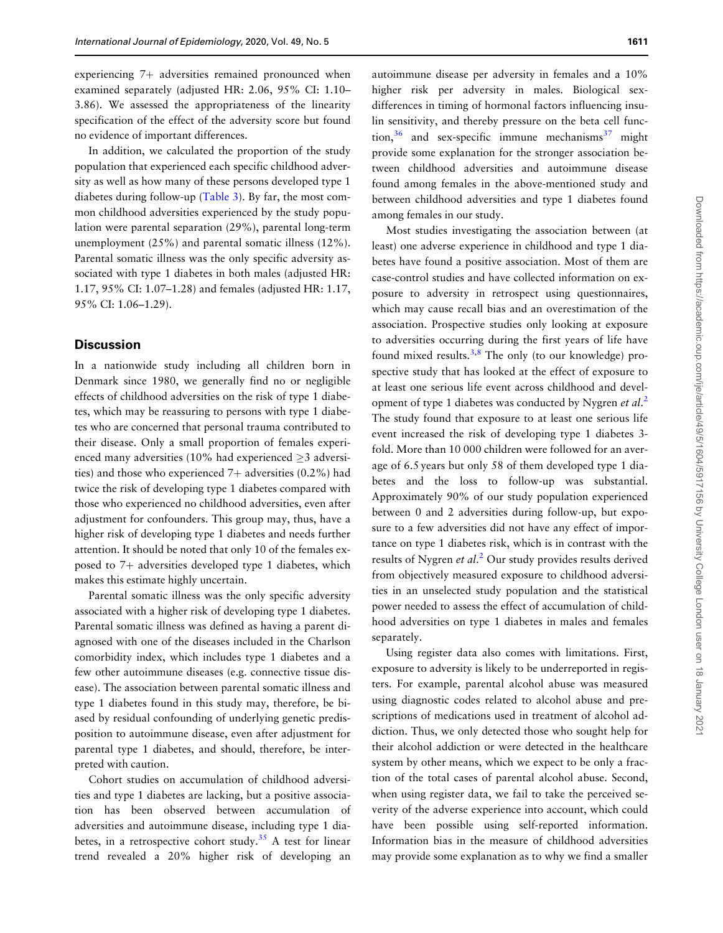<span id="page-7-0"></span>experiencing  $7+$  adversities remained pronounced when examined separately (adjusted HR: 2.06, 95% CI: 1.10– 3.86). We assessed the appropriateness of the linearity specification of the effect of the adversity score but found no evidence of important differences.

In addition, we calculated the proportion of the study population that experienced each specific childhood adversity as well as how many of these persons developed type 1 diabetes during follow-up ([Table 3](#page-6-0)). By far, the most common childhood adversities experienced by the study population were parental separation (29%), parental long-term unemployment (25%) and parental somatic illness (12%). Parental somatic illness was the only specific adversity associated with type 1 diabetes in both males (adjusted HR: 1.17, 95% CI: 1.07–1.28) and females (adjusted HR: 1.17, 95% CI: 1.06–1.29).

### **Discussion**

In a nationwide study including all children born in Denmark since 1980, we generally find no or negligible effects of childhood adversities on the risk of type 1 diabetes, which may be reassuring to persons with type 1 diabetes who are concerned that personal trauma contributed to their disease. Only a small proportion of females experienced many adversities (10% had experienced  $\geq$ 3 adversities) and those who experienced  $7+$  adversities (0.2%) had twice the risk of developing type 1 diabetes compared with those who experienced no childhood adversities, even after adjustment for confounders. This group may, thus, have a higher risk of developing type 1 diabetes and needs further attention. It should be noted that only 10 of the females exposed to  $7+$  adversities developed type 1 diabetes, which makes this estimate highly uncertain.

Parental somatic illness was the only specific adversity associated with a higher risk of developing type 1 diabetes. Parental somatic illness was defined as having a parent diagnosed with one of the diseases included in the Charlson comorbidity index, which includes type 1 diabetes and a few other autoimmune diseases (e.g. connective tissue disease). The association between parental somatic illness and type 1 diabetes found in this study may, therefore, be biased by residual confounding of underlying genetic predisposition to autoimmune disease, even after adjustment for parental type 1 diabetes, and should, therefore, be interpreted with caution.

Cohort studies on accumulation of childhood adversities and type 1 diabetes are lacking, but a positive association has been observed between accumulation of adversities and autoimmune disease, including type 1 dia-betes, in a retrospective cohort study.<sup>[35](#page-9-0)</sup> A test for linear trend revealed a 20% higher risk of developing an

autoimmune disease per adversity in females and a 10% higher risk per adversity in males. Biological sexdifferences in timing of hormonal factors influencing insulin sensitivity, and thereby pressure on the beta cell function,  $36$  and sex-specific immune mechanisms  $37$  might provide some explanation for the stronger association between childhood adversities and autoimmune disease found among females in the above-mentioned study and between childhood adversities and type 1 diabetes found among females in our study.

Most studies investigating the association between (at least) one adverse experience in childhood and type 1 diabetes have found a positive association. Most of them are case-control studies and have collected information on exposure to adversity in retrospect using questionnaires, which may cause recall bias and an overestimation of the association. Prospective studies only looking at exposure to adversities occurring during the first years of life have found mixed results.<sup>[3,8](#page-8-0)</sup> The only (to our knowledge) prospective study that has looked at the effect of exposure to at least one serious life event across childhood and devel-opment of type 1 diabetes was conducted by Nygren et al.<sup>[2](#page-8-0)</sup> The study found that exposure to at least one serious life event increased the risk of developing type 1 diabetes 3 fold. More than 10 000 children were followed for an average of 6.5 years but only 58 of them developed type 1 diabetes and the loss to follow-up was substantial. Approximately 90% of our study population experienced between 0 and 2 adversities during follow-up, but exposure to a few adversities did not have any effect of importance on type 1 diabetes risk, which is in contrast with the results of Nygren et al.<sup>[2](#page-8-0)</sup> Our study provides results derived from objectively measured exposure to childhood adversities in an unselected study population and the statistical power needed to assess the effect of accumulation of childhood adversities on type 1 diabetes in males and females separately.

Using register data also comes with limitations. First, exposure to adversity is likely to be underreported in registers. For example, parental alcohol abuse was measured using diagnostic codes related to alcohol abuse and prescriptions of medications used in treatment of alcohol addiction. Thus, we only detected those who sought help for their alcohol addiction or were detected in the healthcare system by other means, which we expect to be only a fraction of the total cases of parental alcohol abuse. Second, when using register data, we fail to take the perceived severity of the adverse experience into account, which could have been possible using self-reported information. Information bias in the measure of childhood adversities may provide some explanation as to why we find a smaller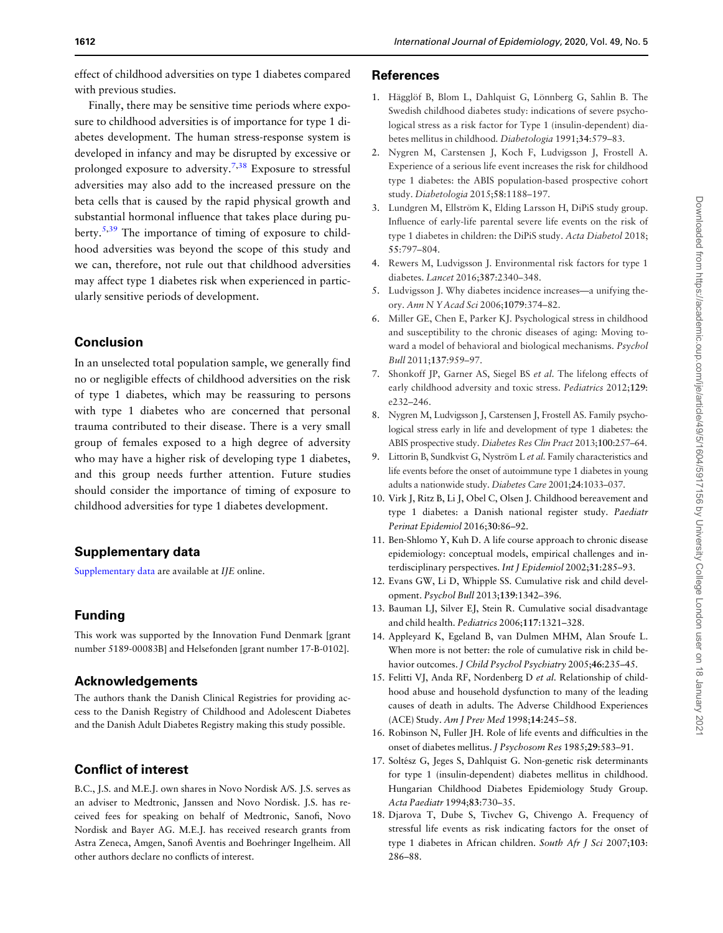<span id="page-8-0"></span>effect of childhood adversities on type 1 diabetes compared with previous studies.

Finally, there may be sensitive time periods where exposure to childhood adversities is of importance for type 1 diabetes development. The human stress-response system is developed in infancy and may be disrupted by excessive or prolonged exposure to adversity.<sup>7,[38](#page-9-0)</sup> Exposure to stressful adversities may also add to the increased pressure on the beta cells that is caused by the rapid physical growth and substantial hormonal influence that takes place during pu-berty.<sup>5[,39](#page-9-0)</sup> The importance of timing of exposure to childhood adversities was beyond the scope of this study and we can, therefore, not rule out that childhood adversities may affect type 1 diabetes risk when experienced in particularly sensitive periods of development.

# Conclusion

In an unselected total population sample, we generally find no or negligible effects of childhood adversities on the risk of type 1 diabetes, which may be reassuring to persons with type 1 diabetes who are concerned that personal trauma contributed to their disease. There is a very small group of females exposed to a high degree of adversity who may have a higher risk of developing type 1 diabetes, and this group needs further attention. Future studies should consider the importance of timing of exposure to childhood adversities for type 1 diabetes development.

# Supplementary data

[Supplementary data](https://academic.oup.com/ije/article-lookup/doi/10.1093/ije/dyaa138#supplementary-data) are available at IJE online.

# Funding

This work was supported by the Innovation Fund Denmark [grant number 5189-00083B] and Helsefonden [grant number 17-B-0102].

### Acknowledgements

The authors thank the Danish Clinical Registries for providing access to the Danish Registry of Childhood and Adolescent Diabetes and the Danish Adult Diabetes Registry making this study possible.

# Conflict of interest

B.C., J.S. and M.E.J. own shares in Novo Nordisk A/S. J.S. serves as an adviser to Medtronic, Janssen and Novo Nordisk. J.S. has received fees for speaking on behalf of Medtronic, Sanofi, Novo Nordisk and Bayer AG. M.E.J. has received research grants from Astra Zeneca, Amgen, Sanofi Aventis and Boehringer Ingelheim. All other authors declare no conflicts of interest.

#### References

- [1.](#page-1-0) Hägglöf B, Blom L, Dahlquist G, Lönnberg G, Sahlin B. The Swedish childhood diabetes study: indications of severe psychological stress as a risk factor for Type 1 (insulin-dependent) diabetes mellitus in childhood. Diabetologia 1991;34:579–83.
- [2.](#page-1-0) Nygren M, Carstensen J, Koch F, Ludvigsson J, Frostell A. Experience of a serious life event increases the risk for childhood type 1 diabetes: the ABIS population-based prospective cohort study. Diabetologia 2015;58:1188–197.
- [3.](#page-1-0) Lundgren M, Ellström K, Elding Larsson H, DiPiS study group. Influence of early-life parental severe life events on the risk of type 1 diabetes in children: the DiPiS study. Acta Diabetol 2018; 55:797–804.
- [4.](#page-1-0) Rewers M, Ludvigsson J. Environmental risk factors for type 1 diabetes. Lancet 2016;387:2340–348.
- [5.](#page-1-0) Ludvigsson J. Why diabetes incidence increases—a unifying theory. Ann N Y Acad Sci 2006;1079:374–82.
- [6.](#page-1-0) Miller GE, Chen E, Parker KJ. Psychological stress in childhood and susceptibility to the chronic diseases of aging: Moving toward a model of behavioral and biological mechanisms. Psychol Bull 2011;137:959–97.
- [7.](#page-1-0) Shonkoff JP, Garner AS, Siegel BS et al. The lifelong effects of early childhood adversity and toxic stress. Pediatrics 2012;129: e232–246.
- [8.](#page-1-0) Nygren M, Ludvigsson J, Carstensen J, Frostell AS. Family psychological stress early in life and development of type 1 diabetes: the ABIS prospective study. Diabetes Res Clin Pract 2013;100:257–64.
- [9.](#page-1-0) Littorin B, Sundkvist G, Nyström L et al. Family characteristics and life events before the onset of autoimmune type 1 diabetes in young adults a nationwide study. Diabetes Care 2001;24:1033–037.
- [10.](#page-1-0) Virk J, Ritz B, Li J, Obel C, Olsen J. Childhood bereavement and type 1 diabetes: a Danish national register study. Paediatr Perinat Epidemiol 2016;30:86–92.
- [11.](#page-1-0) Ben-Shlomo Y, Kuh D. A life course approach to chronic disease epidemiology: conceptual models, empirical challenges and interdisciplinary perspectives. Int J Epidemiol 2002;31:285–93.
- 12. Evans GW, Li D, Whipple SS. Cumulative risk and child development. Psychol Bull 2013;139:1342–396.
- 13. Bauman LJ, Silver EJ, Stein R. Cumulative social disadvantage and child health. Pediatrics 2006;117:1321–328.
- 14. Appleyard K, Egeland B, van Dulmen MHM, Alan Sroufe L. When more is not better: the role of cumulative risk in child behavior outcomes. J Child Psychol Psychiatry 2005;46:235-45.
- 15. Felitti VJ, Anda RF, Nordenberg D et al. Relationship of childhood abuse and household dysfunction to many of the leading causes of death in adults. The Adverse Childhood Experiences (ACE) Study. Am J Prev Med 1998;14:245–58.
- 16. Robinson N, Fuller JH. Role of life events and difficulties in the onset of diabetes mellitus. J Psychosom Res 1985;29:583–91.
- 17. Soltész G, Jeges S, Dahlquist G. Non-genetic risk determinants for type 1 (insulin-dependent) diabetes mellitus in childhood. Hungarian Childhood Diabetes Epidemiology Study Group. Acta Paediatr 1994;83:730–35.
- 18. Djarova T, Dube S, Tivchev G, Chivengo A. Frequency of stressful life events as risk indicating factors for the onset of type 1 diabetes in African children. South Afr J Sci 2007;103: 286–88.